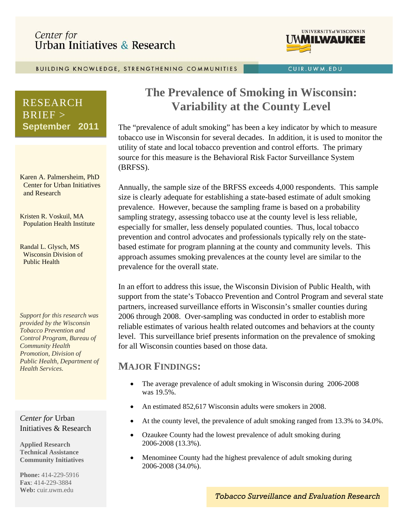# Center for Urban Initiatives & Research



CUIR.UWM.EDU

BUILDING KNOWLEDGE, STRENGTHENING COMMUNITIES

# RESEARCH  $BRIEF >$ **September 2011**

Karen A. Palmersheim, PhD Center for Urban Initiatives and Research

Kristen R. Voskuil, MA Population Health Institute

Randal L. Glysch, MS Wisconsin Division of Public Health

*Support for this research was provided by the Wisconsin Tobacco Prevention and Control Program, Bureau of Community Health Promotion, Division of Public Health, Department of Health Services.* 

*Center for* Urban Initiatives & Research

**Applied Research Technical Assistance Community Initiatives** 

**Phone:** 414-229-5916 **Fax**: 414-229-3884 **Web:** cuir.uwm.edu

# **The Prevalence of Smoking in Wisconsin: Variability at the County Level**

The "prevalence of adult smoking" has been a key indicator by which to measure tobacco use in Wisconsin for several decades. In addition, it is used to monitor the utility of state and local tobacco prevention and control efforts. The primary source for this measure is the Behavioral Risk Factor Surveillance System (BRFSS).

Annually, the sample size of the BRFSS exceeds 4,000 respondents. This sample size is clearly adequate for establishing a state-based estimate of adult smoking prevalence. However, because the sampling frame is based on a probability sampling strategy, assessing tobacco use at the county level is less reliable, especially for smaller, less densely populated counties. Thus, local tobacco prevention and control advocates and professionals typically rely on the statebased estimate for program planning at the county and community levels. This approach assumes smoking prevalences at the county level are similar to the prevalence for the overall state.

In an effort to address this issue, the Wisconsin Division of Public Health, with support from the state's Tobacco Prevention and Control Program and several state partners, increased surveillance efforts in Wisconsin's smaller counties during 2006 through 2008. Over-sampling was conducted in order to establish more reliable estimates of various health related outcomes and behaviors at the county level. This surveillance brief presents information on the prevalence of smoking for all Wisconsin counties based on those data.

### **MAJOR FINDINGS:**

- The average prevalence of adult smoking in Wisconsin during 2006-2008 was 19.5%.
- An estimated 852,617 Wisconsin adults were smokers in 2008.
- At the county level, the prevalence of adult smoking ranged from 13.3% to 34.0%.
- Ozaukee County had the lowest prevalence of adult smoking during 2006-2008 (13.3%).
- Menominee County had the highest prevalence of adult smoking during 2006-2008 (34.0%).

*Tobacco Surveillance and Evaluation Research*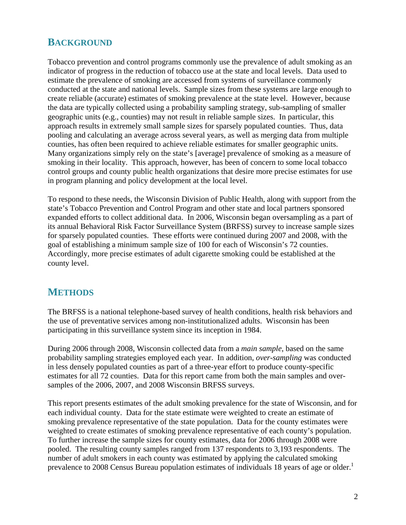#### **BACKGROUND**

Tobacco prevention and control programs commonly use the prevalence of adult smoking as an indicator of progress in the reduction of tobacco use at the state and local levels. Data used to estimate the prevalence of smoking are accessed from systems of surveillance commonly conducted at the state and national levels. Sample sizes from these systems are large enough to create reliable (accurate) estimates of smoking prevalence at the state level. However, because the data are typically collected using a probability sampling strategy, sub-sampling of smaller geographic units (e.g., counties) may not result in reliable sample sizes. In particular, this approach results in extremely small sample sizes for sparsely populated counties. Thus, data pooling and calculating an average across several years, as well as merging data from multiple counties, has often been required to achieve reliable estimates for smaller geographic units. Many organizations simply rely on the state's [average] prevalence of smoking as a measure of smoking in their locality. This approach, however, has been of concern to some local tobacco control groups and county public health organizations that desire more precise estimates for use in program planning and policy development at the local level.

To respond to these needs, the Wisconsin Division of Public Health, along with support from the state's Tobacco Prevention and Control Program and other state and local partners sponsored expanded efforts to collect additional data. In 2006, Wisconsin began oversampling as a part of its annual Behavioral Risk Factor Surveillance System (BRFSS) survey to increase sample sizes for sparsely populated counties. These efforts were continued during 2007 and 2008, with the goal of establishing a minimum sample size of 100 for each of Wisconsin's 72 counties. Accordingly, more precise estimates of adult cigarette smoking could be established at the county level.

### **METHODS**

The BRFSS is a national telephone-based survey of health conditions, health risk behaviors and the use of preventative services among non-institutionalized adults. Wisconsin has been participating in this surveillance system since its inception in 1984.

During 2006 through 2008, Wisconsin collected data from a *main sample*, based on the same probability sampling strategies employed each year. In addition, *over-sampling* was conducted in less densely populated counties as part of a three-year effort to produce county-specific estimates for all 72 counties. Data for this report came from both the main samples and oversamples of the 2006, 2007, and 2008 Wisconsin BRFSS surveys.

This report presents estimates of the adult smoking prevalence for the state of Wisconsin, and for each individual county. Data for the state estimate were weighted to create an estimate of smoking prevalence representative of the state population. Data for the county estimates were weighted to create estimates of smoking prevalence representative of each county's population. To further increase the sample sizes for county estimates, data for 2006 through 2008 were pooled. The resulting county samples ranged from 137 respondents to 3,193 respondents. The number of adult smokers in each county was estimated by applying the calculated smoking prevalence to 2008 Census Bureau population estimates of individuals 18 years of age or older.<sup>1</sup>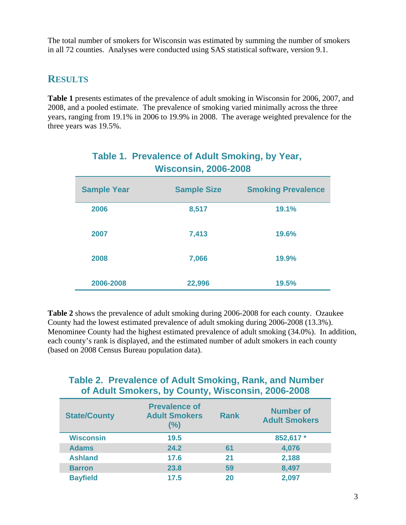The total number of smokers for Wisconsin was estimated by summing the number of smokers in all 72 counties. Analyses were conducted using SAS statistical software, version 9.1.

#### **RESULTS**

**Table 1** presents estimates of the prevalence of adult smoking in Wisconsin for 2006, 2007, and 2008, and a pooled estimate. The prevalence of smoking varied minimally across the three years, ranging from 19.1% in 2006 to 19.9% in 2008. The average weighted prevalence for the three years was 19.5%.

| VVISCONSIN, ZUUD-ZUUD |                    |                           |  |  |  |
|-----------------------|--------------------|---------------------------|--|--|--|
| <b>Sample Year</b>    | <b>Sample Size</b> | <b>Smoking Prevalence</b> |  |  |  |
| 2006                  | 8,517              | 19.1%                     |  |  |  |
| 2007                  | 7,413              | 19.6%                     |  |  |  |
| 2008                  | 7,066              | 19.9%                     |  |  |  |
| 2006-2008             | 22,996             | 19.5%                     |  |  |  |

# **Table 1. Prevalence of Adult Smoking, by Year, Wisconsin, 2006-2008**

**Table 2** shows the prevalence of adult smoking during 2006-2008 for each county. Ozaukee County had the lowest estimated prevalence of adult smoking during 2006-2008 (13.3%). Menominee County had the highest estimated prevalence of adult smoking (34.0%). In addition, each county's rank is displayed, and the estimated number of adult smokers in each county (based on 2008 Census Bureau population data).

# **Table 2. Prevalence of Adult Smoking, Rank, and Number of Adult Smokers, by County, Wisconsin, 2006-2008**

| <b>State/County</b> | <b>Prevalence of</b><br><b>Adult Smokers</b><br>(%) | <b>Rank</b> | <b>Number of</b><br><b>Adult Smokers</b> |
|---------------------|-----------------------------------------------------|-------------|------------------------------------------|
| <b>Wisconsin</b>    | 19.5                                                |             | 852,617 *                                |
| <b>Adams</b>        | 24.2                                                | 61          | 4,076                                    |
| <b>Ashland</b>      | 17.6                                                | 21          | 2,188                                    |
| <b>Barron</b>       | 23.8                                                | 59          | 8,497                                    |
| <b>Bayfield</b>     | 17.5                                                | 20          | 2,097                                    |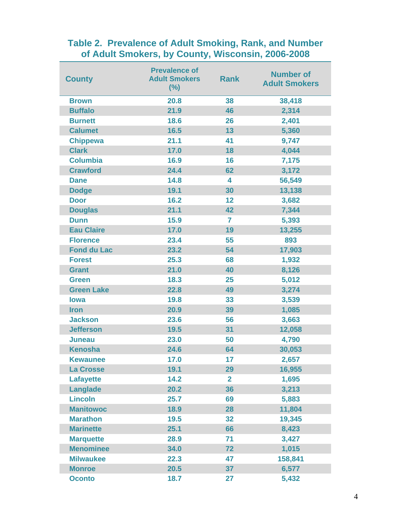# **Table 2. Prevalence of Adult Smoking, Rank, and Number of Adult Smokers, by County, Wisconsin, 2006-2008**

| <b>County</b>      | <b>Prevalence of</b><br><b>Adult Smokers</b><br>(%) | <b>Rank</b>    | <b>Number of</b><br><b>Adult Smokers</b> |
|--------------------|-----------------------------------------------------|----------------|------------------------------------------|
| <b>Brown</b>       | 20.8                                                | 38             | 38,418                                   |
| <b>Buffalo</b>     | 21.9                                                | 46             | 2,314                                    |
| <b>Burnett</b>     | 18.6                                                | 26             | 2,401                                    |
| <b>Calumet</b>     | 16.5                                                | 13             | 5,360                                    |
| <b>Chippewa</b>    | 21.1                                                | 41             | 9,747                                    |
| <b>Clark</b>       | 17.0                                                | 18             | 4,044                                    |
| <b>Columbia</b>    | 16.9                                                | 16             | 7,175                                    |
| <b>Crawford</b>    | 24.4                                                | 62             | 3,172                                    |
| <b>Dane</b>        | 14.8                                                | 4              | 56,549                                   |
| <b>Dodge</b>       | 19.1                                                | 30             | 13,138                                   |
| <b>Door</b>        | 16.2                                                | 12             | 3,682                                    |
| <b>Douglas</b>     | 21.1                                                | 42             | 7,344                                    |
| <b>Dunn</b>        | 15.9                                                | 7              | 5,393                                    |
| <b>Eau Claire</b>  | 17.0                                                | 19             | 13,255                                   |
| <b>Florence</b>    | 23.4                                                | 55             | 893                                      |
| <b>Fond du Lac</b> | 23.2                                                | 54             | 17,903                                   |
| <b>Forest</b>      | 25.3                                                | 68             | 1,932                                    |
| <b>Grant</b>       | 21.0                                                | 40             | 8,126                                    |
| <b>Green</b>       | 18.3                                                | 25             | 5,012                                    |
| <b>Green Lake</b>  | 22.8                                                | 49             | 3,274                                    |
| <b>lowa</b>        | 19.8                                                | 33             | 3,539                                    |
| <b>Iron</b>        | 20.9                                                | 39             | 1,085                                    |
| <b>Jackson</b>     | 23.6                                                | 56             | 3,663                                    |
| <b>Jefferson</b>   | 19.5                                                | 31             | 12,058                                   |
| <b>Juneau</b>      | 23.0                                                | 50             | 4,790                                    |
| <b>Kenosha</b>     | 24.6                                                | 64             | 30,053                                   |
| <b>Kewaunee</b>    | 17.0                                                | 17             | 2,657                                    |
| <b>La Crosse</b>   | 19.1                                                | 29             | 16,955                                   |
| <b>Lafayette</b>   | 14.2                                                | $\overline{2}$ | 1,695                                    |
| <b>Langlade</b>    | 20.2                                                | 36             | 3,213                                    |
| <b>Lincoln</b>     | 25.7                                                | 69             | 5,883                                    |
| <b>Manitowoc</b>   | 18.9                                                | 28             | 11,804                                   |
| <b>Marathon</b>    | 19.5                                                | 32             | 19,345                                   |
| <b>Marinette</b>   | 25.1                                                | 66             | 8,423                                    |
| <b>Marquette</b>   | 28.9                                                | 71             | 3,427                                    |
| <b>Menominee</b>   | 34.0                                                | 72             | 1,015                                    |
| <b>Milwaukee</b>   | 22.3                                                | 47             | 158,841                                  |
| <b>Monroe</b>      | 20.5                                                | 37             | 6,577                                    |
| <b>Oconto</b>      | 18.7                                                | 27             | 5,432                                    |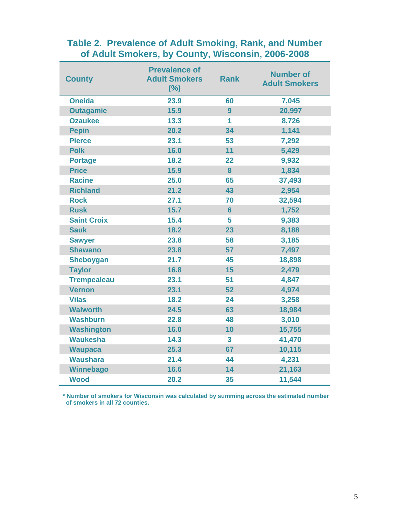### **Table 2. Prevalence of Adult Smoking, Rank, and Number of Adult Smokers, by County, Wisconsin, 2006-2008**

| <b>County</b>      | <b>Prevalence of</b><br><b>Adult Smokers</b><br>(%) | <b>Rank</b>    | <b>Number of</b><br><b>Adult Smokers</b> |
|--------------------|-----------------------------------------------------|----------------|------------------------------------------|
| <b>Oneida</b>      | 23.9                                                | 60             | 7,045                                    |
| <b>Outagamie</b>   | 15.9                                                | 9              | 20,997                                   |
| <b>Ozaukee</b>     | 13.3                                                | 1              | 8,726                                    |
| <b>Pepin</b>       | 20.2                                                | 34             | 1,141                                    |
| <b>Pierce</b>      | 23.1                                                | 53             | 7,292                                    |
| <b>Polk</b>        | 16.0                                                | 11             | 5,429                                    |
| <b>Portage</b>     | 18.2                                                | 22             | 9,932                                    |
| <b>Price</b>       | 15.9                                                | 8              | 1,834                                    |
| <b>Racine</b>      | 25.0                                                | 65             | 37,493                                   |
| <b>Richland</b>    | 21.2                                                | 43             | 2,954                                    |
| <b>Rock</b>        | 27.1                                                | 70             | 32,594                                   |
| <b>Rusk</b>        | 15.7                                                | $6\phantom{a}$ | 1,752                                    |
| <b>Saint Croix</b> | 15.4                                                | 5              | 9,383                                    |
| <b>Sauk</b>        | 18.2                                                | 23             | 8,188                                    |
| <b>Sawyer</b>      | 23.8                                                | 58             | 3,185                                    |
| <b>Shawano</b>     | 23.8                                                | 57             | 7,497                                    |
| <b>Sheboygan</b>   | 21.7                                                | 45             | 18,898                                   |
| <b>Taylor</b>      | 16.8                                                | 15             | 2,479                                    |
| <b>Trempealeau</b> | 23.1                                                | 51             | 4,847                                    |
| <b>Vernon</b>      | 23.1                                                | 52             | 4,974                                    |
| <b>Vilas</b>       | 18.2                                                | 24             | 3,258                                    |
| <b>Walworth</b>    | 24.5                                                | 63             | 18,984                                   |
| <b>Washburn</b>    | 22.8                                                | 48             | 3,010                                    |
| <b>Washington</b>  | 16.0                                                | 10             | 15,755                                   |
| <b>Waukesha</b>    | 14.3                                                | $\mathbf{3}$   | 41,470                                   |
| <b>Waupaca</b>     | 25.3                                                | 67             | 10,115                                   |
| <b>Waushara</b>    | 21.4                                                | 44             | 4,231                                    |
| Winnebago          | 16.6                                                | 14             | 21,163                                   |
| <b>Wood</b>        | 20.2                                                | 35             | 11,544                                   |

 **\* Number of smokers for Wisconsin was calculated by summing across the estimated number of smokers in all 72 counties.**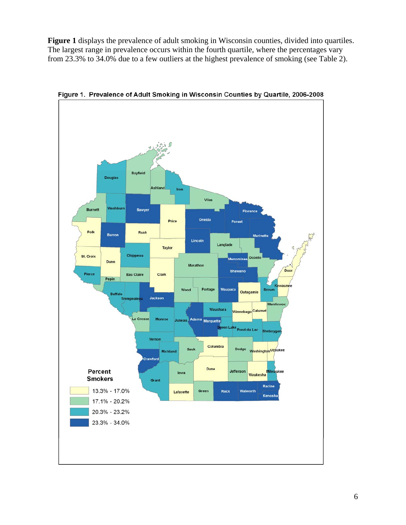**Figure 1** displays the prevalence of adult smoking in Wisconsin counties, divided into quartiles. The largest range in prevalence occurs within the fourth quartile, where the percentages vary from 23.3% to 34.0% due to a few outliers at the highest prevalence of smoking (see Table 2).



Figure 1. Prevalence of Adult Smoking in Wisconsin Counties by Quartile, 2006-2008